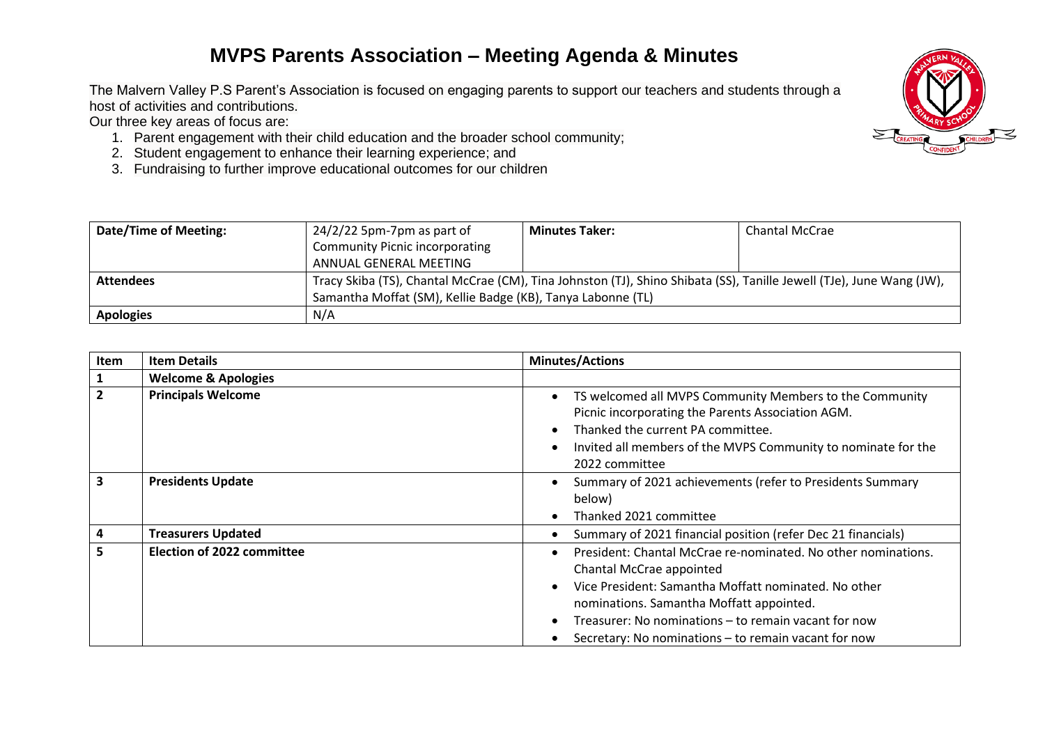## **MVPS Parents Association – Meeting Agenda & Minutes**

The Malvern Valley P.S Parent's Association is focused on engaging parents to support our teachers and students through a host of activities and contributions.

Our three key areas of focus are:

- 1. Parent engagement with their child education and the broader school community;
- 2. Student engagement to enhance their learning experience; and
- 3. Fundraising to further improve educational outcomes for our children

| Date/Time of Meeting: | $24/2/22$ 5pm-7pm as part of                                                                                         | <b>Minutes Taker:</b> | <b>Chantal McCrae</b> |
|-----------------------|----------------------------------------------------------------------------------------------------------------------|-----------------------|-----------------------|
|                       | <b>Community Picnic incorporating</b>                                                                                |                       |                       |
|                       | ANNUAL GENERAL MEETING                                                                                               |                       |                       |
| <b>Attendees</b>      | Tracy Skiba (TS), Chantal McCrae (CM), Tina Johnston (TJ), Shino Shibata (SS), Tanille Jewell (TJe), June Wang (JW), |                       |                       |
|                       | Samantha Moffat (SM), Kellie Badge (KB), Tanya Labonne (TL)                                                          |                       |                       |
| <b>Apologies</b>      | N/A                                                                                                                  |                       |                       |

| Item                    | <b>Item Details</b>               | <b>Minutes/Actions</b>                                                                                                                                                                                                                                                                                        |  |
|-------------------------|-----------------------------------|---------------------------------------------------------------------------------------------------------------------------------------------------------------------------------------------------------------------------------------------------------------------------------------------------------------|--|
|                         | <b>Welcome &amp; Apologies</b>    |                                                                                                                                                                                                                                                                                                               |  |
| $\overline{2}$          | <b>Principals Welcome</b>         | TS welcomed all MVPS Community Members to the Community<br>Picnic incorporating the Parents Association AGM.<br>Thanked the current PA committee.<br>Invited all members of the MVPS Community to nominate for the<br>2022 committee                                                                          |  |
| $\overline{\mathbf{3}}$ | <b>Presidents Update</b>          | Summary of 2021 achievements (refer to Presidents Summary<br>below)<br>Thanked 2021 committee                                                                                                                                                                                                                 |  |
| 4                       | <b>Treasurers Updated</b>         | Summary of 2021 financial position (refer Dec 21 financials)                                                                                                                                                                                                                                                  |  |
| 5                       | <b>Election of 2022 committee</b> | President: Chantal McCrae re-nominated. No other nominations.<br>Chantal McCrae appointed<br>Vice President: Samantha Moffatt nominated. No other<br>nominations. Samantha Moffatt appointed.<br>Treasurer: No nominations – to remain vacant for now<br>Secretary: No nominations – to remain vacant for now |  |

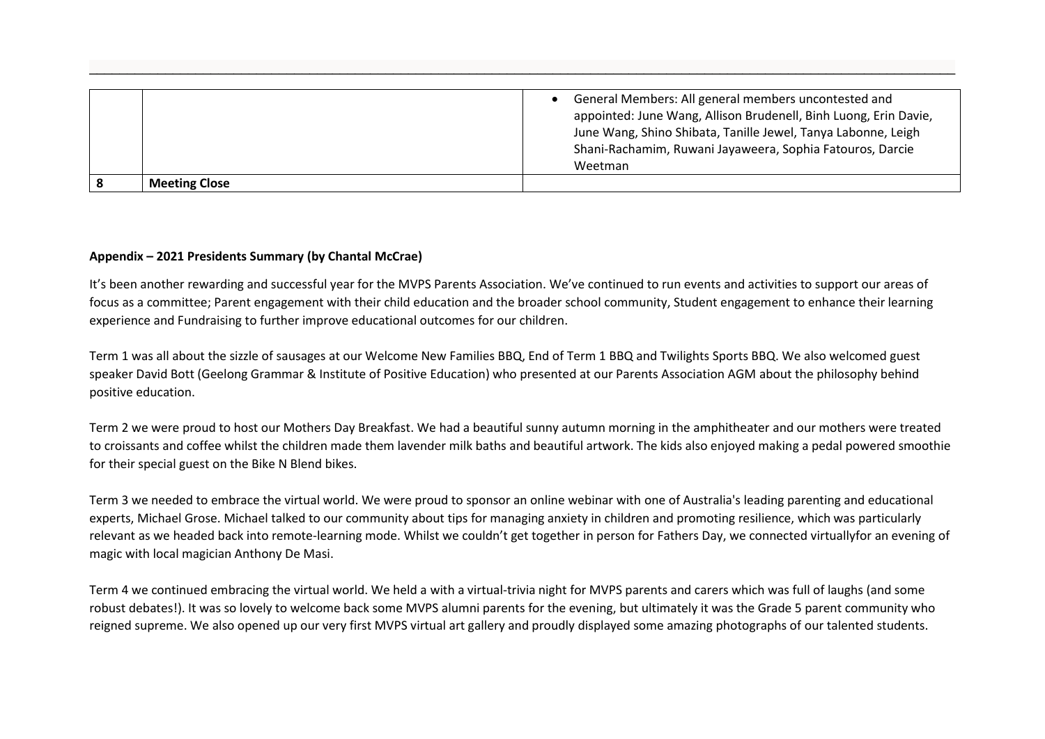|                      | General Members: All general members uncontested and<br>appointed: June Wang, Allison Brudenell, Binh Luong, Erin Davie,<br>June Wang, Shino Shibata, Tanille Jewel, Tanya Labonne, Leigh<br>Shani-Rachamim, Ruwani Jayaweera, Sophia Fatouros, Darcie<br>Weetman |
|----------------------|-------------------------------------------------------------------------------------------------------------------------------------------------------------------------------------------------------------------------------------------------------------------|
| <b>Meeting Close</b> |                                                                                                                                                                                                                                                                   |

\_\_\_\_\_\_\_\_\_\_\_\_\_\_\_\_\_\_\_\_\_\_\_\_\_\_\_\_\_\_\_\_\_\_\_\_\_\_\_\_\_\_\_\_\_\_\_\_\_\_\_\_\_\_\_\_\_\_\_\_\_\_\_\_\_\_\_\_\_\_\_\_\_\_\_\_\_\_\_\_\_\_\_\_\_\_\_\_\_\_\_\_\_\_\_\_\_\_\_\_\_\_\_\_\_\_\_\_\_\_\_\_\_\_

## **Appendix – 2021 Presidents Summary (by Chantal McCrae)**

It's been another rewarding and successful year for the MVPS Parents Association. We've continued to run events and activities to support our areas of focus as a committee; Parent engagement with their child education and the broader school community, Student engagement to enhance their learning experience and Fundraising to further improve educational outcomes for our children.

Term 1 was all about the sizzle of sausages at our Welcome New Families BBQ, End of Term 1 BBQ and Twilights Sports BBQ. We also welcomed guest speaker David Bott (Geelong Grammar & Institute of Positive Education) who presented at our Parents Association AGM about the philosophy behind positive education.

Term 2 we were proud to host our Mothers Day Breakfast. We had a beautiful sunny autumn morning in the amphitheater and our mothers were treated to croissants and coffee whilst the children made them lavender milk baths and beautiful artwork. The kids also enjoyed making a pedal powered smoothie for their special guest on the Bike N Blend bikes.

Term 3 we needed to embrace the virtual world. We were proud to sponsor an online webinar with one of Australia's leading parenting and educational experts, Michael Grose. Michael talked to our community about tips for managing anxiety in children and promoting resilience, which was particularly relevant as we headed back into remote-learning mode. Whilst we couldn't get together in person for Fathers Day, we connected virtuallyfor an evening of magic with local magician Anthony De Masi.

Term 4 we continued embracing the virtual world. We held a with a virtual-trivia night for MVPS parents and carers which was full of laughs (and some robust debates!). It was so lovely to welcome back some MVPS alumni parents for the evening, but ultimately it was the Grade 5 parent community who reigned supreme. We also opened up our very first MVPS virtual art gallery and proudly displayed some amazing photographs of our talented students.